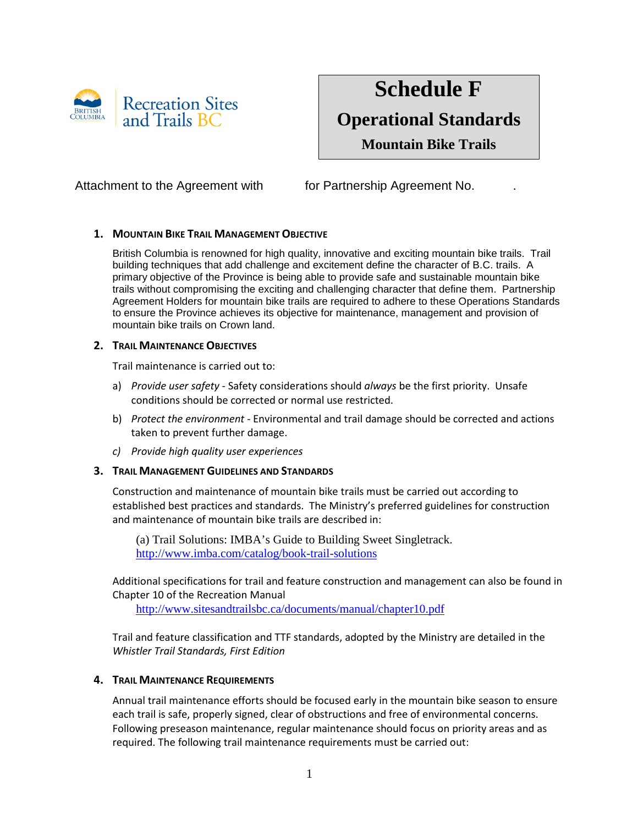

# **Schedule F Operational Standards**

**Mountain Bike Trails**

## Attachment to the Agreement with for Partnership Agreement No.

## **1. MOUNTAIN BIKE TRAIL MANAGEMENT OBJECTIVE**

British Columbia is renowned for high quality, innovative and exciting mountain bike trails. Trail building techniques that add challenge and excitement define the character of B.C. trails. A primary objective of the Province is being able to provide safe and sustainable mountain bike trails without compromising the exciting and challenging character that define them. Partnership Agreement Holders for mountain bike trails are required to adhere to these Operations Standards to ensure the Province achieves its objective for maintenance, management and provision of mountain bike trails on Crown land.

#### **2. TRAIL MAINTENANCE OBJECTIVES**

Trail maintenance is carried out to:

- a) *Provide user safety* Safety considerations should *always* be the first priority. Unsafe conditions should be corrected or normal use restricted.
- b) *Protect the environment* Environmental and trail damage should be corrected and actions taken to prevent further damage.
- *c) Provide high quality user experiences*

## **3. TRAIL MANAGEMENT GUIDELINES AND STANDARDS**

Construction and maintenance of mountain bike trails must be carried out according to established best practices and standards. The Ministry's preferred guidelines for construction and maintenance of mountain bike trails are described in:

(a) Trail Solutions: IMBA's Guide to Building Sweet Singletrack. <http://www.imba.com/catalog/book-trail-solutions>

Additional specifications for trail and feature construction and management can also be found in Chapter 10 of the Recreation Manual

<http://www.sitesandtrailsbc.ca/documents/manual/chapter10.pdf>

Trail and feature classification and TTF standards, adopted by the Ministry are detailed in the *Whistler Trail Standards, First Edition*

## **4. TRAIL MAINTENANCE REQUIREMENTS**

Annual trail maintenance efforts should be focused early in the mountain bike season to ensure each trail is safe, properly signed, clear of obstructions and free of environmental concerns. Following preseason maintenance, regular maintenance should focus on priority areas and as required. The following trail maintenance requirements must be carried out: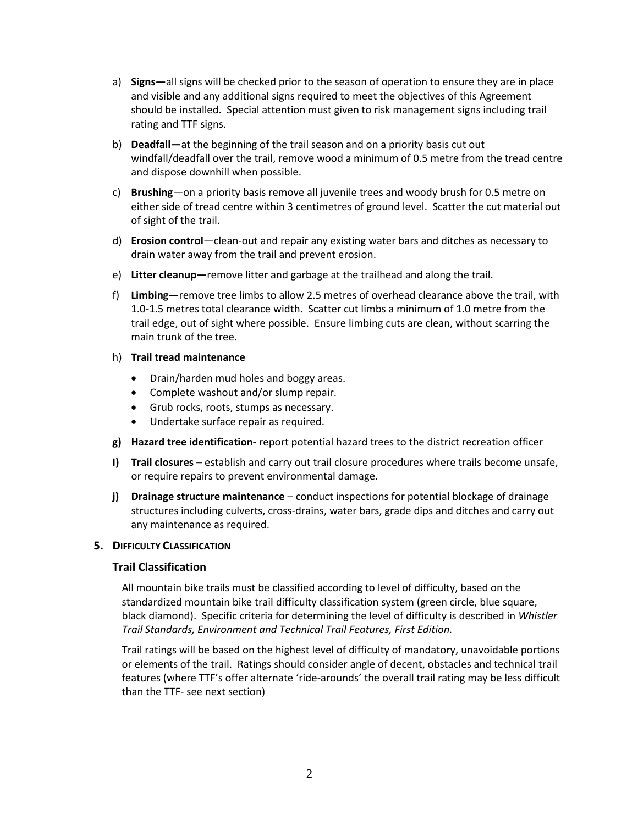- a) **Signs—**all signs will be checked prior to the season of operation to ensure they are in place and visible and any additional signs required to meet the objectives of this Agreement should be installed. Special attention must given to risk management signs including trail rating and TTF signs.
- b) **Deadfall—**at the beginning of the trail season and on a priority basis cut out windfall/deadfall over the trail, remove wood a minimum of 0.5 metre from the tread centre and dispose downhill when possible.
- c) **Brushing**—on a priority basis remove all juvenile trees and woody brush for 0.5 metre on either side of tread centre within 3 centimetres of ground level. Scatter the cut material out of sight of the trail.
- d) **Erosion control**—clean-out and repair any existing water bars and ditches as necessary to drain water away from the trail and prevent erosion.
- e) **Litter cleanup—**remove litter and garbage at the trailhead and along the trail.
- f) **Limbing—**remove tree limbs to allow 2.5 metres of overhead clearance above the trail, with 1.0-1.5 metres total clearance width. Scatter cut limbs a minimum of 1.0 metre from the trail edge, out of sight where possible. Ensure limbing cuts are clean, without scarring the main trunk of the tree.
- h) **Trail tread maintenance**
	- Drain/harden mud holes and boggy areas.
	- Complete washout and/or slump repair.
	- Grub rocks, roots, stumps as necessary.
	- Undertake surface repair as required.
- **g) Hazard tree identification-** report potential hazard trees to the district recreation officer
- **I) Trail closures –** establish and carry out trail closure procedures where trails become unsafe, or require repairs to prevent environmental damage.
- **j) Drainage structure maintenance** conduct inspections for potential blockage of drainage structures including culverts, cross-drains, water bars, grade dips and ditches and carry out any maintenance as required.

## **5. DIFFICULTY CLASSIFICATION**

## **Trail Classification**

All mountain bike trails must be classified according to level of difficulty, based on the standardized mountain bike trail difficulty classification system (green circle, blue square, black diamond). Specific criteria for determining the level of difficulty is described in *Whistler Trail Standards, Environment and Technical Trail Features, First Edition.* 

Trail ratings will be based on the highest level of difficulty of mandatory, unavoidable portions or elements of the trail. Ratings should consider angle of decent, obstacles and technical trail features (where TTF's offer alternate 'ride-arounds' the overall trail rating may be less difficult than the TTF- see next section)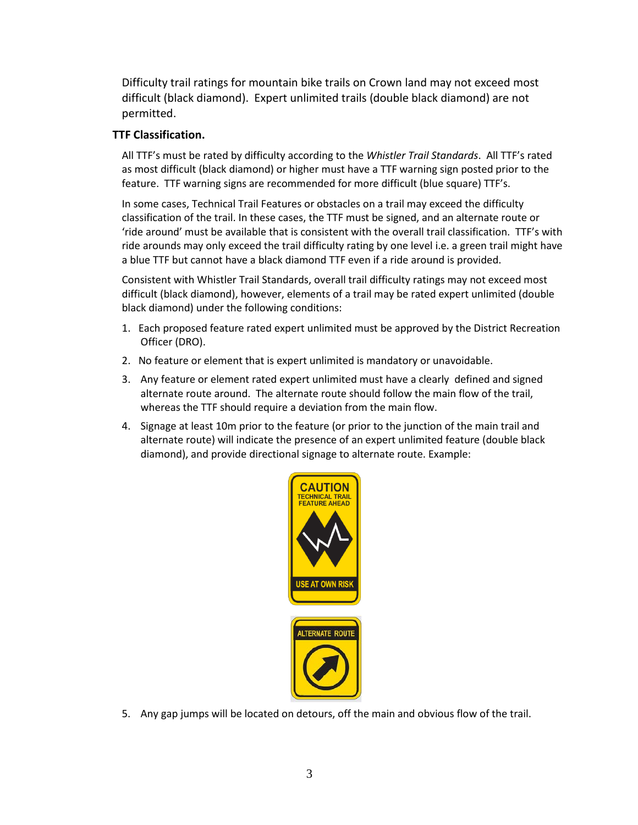Difficulty trail ratings for mountain bike trails on Crown land may not exceed most difficult (black diamond). Expert unlimited trails (double black diamond) are not permitted.

## **TTF Classification.**

All TTF's must be rated by difficulty according to the *Whistler Trail Standards*. All TTF's rated as most difficult (black diamond) or higher must have a TTF warning sign posted prior to the feature. TTF warning signs are recommended for more difficult (blue square) TTF's.

In some cases, Technical Trail Features or obstacles on a trail may exceed the difficulty classification of the trail. In these cases, the TTF must be signed, and an alternate route or 'ride around' must be available that is consistent with the overall trail classification. TTF's with ride arounds may only exceed the trail difficulty rating by one level i.e. a green trail might have a blue TTF but cannot have a black diamond TTF even if a ride around is provided.

Consistent with Whistler Trail Standards, overall trail difficulty ratings may not exceed most difficult (black diamond), however, elements of a trail may be rated expert unlimited (double black diamond) under the following conditions:

- 1. Each proposed feature rated expert unlimited must be approved by the District Recreation Officer (DRO).
- 2. No feature or element that is expert unlimited is mandatory or unavoidable.
- 3. Any feature or element rated expert unlimited must have a clearly defined and signed alternate route around. The alternate route should follow the main flow of the trail, whereas the TTF should require a deviation from the main flow.
- 4. Signage at least 10m prior to the feature (or prior to the junction of the main trail and alternate route) will indicate the presence of an expert unlimited feature (double black diamond), and provide directional signage to alternate route. Example:



5. Any gap jumps will be located on detours, off the main and obvious flow of the trail.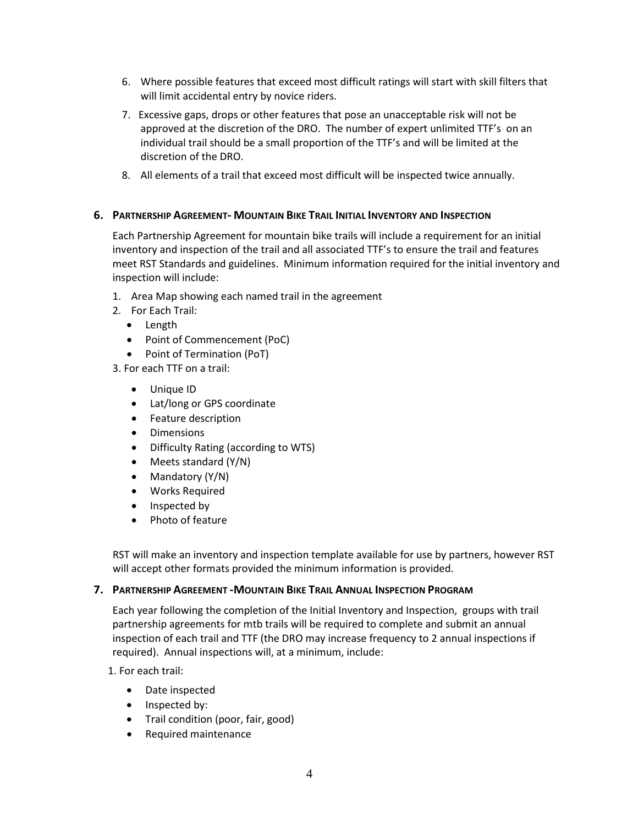- 6. Where possible features that exceed most difficult ratings will start with skill filters that will limit accidental entry by novice riders.
- 7. Excessive gaps, drops or other features that pose an unacceptable risk will not be approved at the discretion of the DRO. The number of expert unlimited TTF's on an individual trail should be a small proportion of the TTF's and will be limited at the discretion of the DRO.
- 8. All elements of a trail that exceed most difficult will be inspected twice annually.

#### **6. PARTNERSHIP AGREEMENT- MOUNTAIN BIKE TRAIL INITIAL INVENTORY AND INSPECTION**

Each Partnership Agreement for mountain bike trails will include a requirement for an initial inventory and inspection of the trail and all associated TTF's to ensure the trail and features meet RST Standards and guidelines. Minimum information required for the initial inventory and inspection will include:

- 1. Area Map showing each named trail in the agreement
- 2. For Each Trail:
	- Length
	- Point of Commencement (PoC)
	- Point of Termination (PoT)
- 3. For each TTF on a trail:
	- Unique ID
	- Lat/long or GPS coordinate
	- Feature description
	- Dimensions
	- Difficulty Rating (according to WTS)
	- Meets standard (Y/N)
	- Mandatory (Y/N)
	- Works Required
	- Inspected by
	- Photo of feature

RST will make an inventory and inspection template available for use by partners, however RST will accept other formats provided the minimum information is provided.

#### **7. PARTNERSHIP AGREEMENT -MOUNTAIN BIKE TRAIL ANNUAL INSPECTION PROGRAM**

Each year following the completion of the Initial Inventory and Inspection, groups with trail partnership agreements for mtb trails will be required to complete and submit an annual inspection of each trail and TTF (the DRO may increase frequency to 2 annual inspections if required). Annual inspections will, at a minimum, include:

1. For each trail:

- Date inspected
- Inspected by:
- Trail condition (poor, fair, good)
- Required maintenance